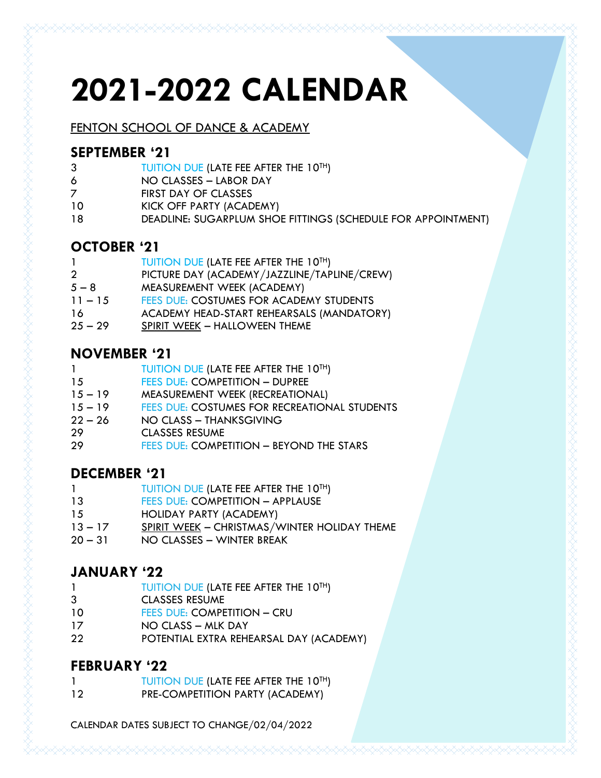# **2021-2022 CALENDAR**

FENTON SCHOOL OF DANCE & ACADEMY

#### **SEPTEMBER '21**

- TUITION DUE (LATE FEE AFTER THE 10TH)
- NO CLASSES LABOR DAY
- FIRST DAY OF CLASSES
- KICK OFF PARTY (ACADEMY)
- DEADLINE: SUGARPLUM SHOE FITTINGS (SCHEDULE FOR APPOINTMENT)

## **OCTOBER '21**

| 1              | TUITION DUE (LATE FEE AFTER THE 10TH)       |
|----------------|---------------------------------------------|
| $\overline{2}$ | PICTURE DAY (ACADEMY/JAZZLINE/TAPLINE/CREW) |
| $5 - 8$        | MEASUREMENT WEEK (ACADEMY)                  |
| $11 - 15$      | FEES DUE: COSTUMES FOR ACADEMY STUDENTS     |
| 16             | ACADEMY HEAD-START REHEARSALS (MANDATORY)   |
| $25 - 29$      | SPIRIT WEEK - HALLOWEEN THEME               |
|                |                                             |

#### **NOVEMBER '21**

| -1        | TUITION DUE (LATE FEE AFTER THE 10TH)        |
|-----------|----------------------------------------------|
| 15        | <b>FEES DUE: COMPETITION - DUPREE</b>        |
| $15 - 19$ | MEASUREMENT WEEK (RECREATIONAL)              |
| $15 - 19$ | FEES DUE: COSTUMES FOR RECREATIONAL STUDENTS |
| $22 - 26$ | NO CLASS - THANKSGIVING                      |
| -29       | <b>CLASSES RESUME</b>                        |

FEES DUE: COMPETITION – BEYOND THE STARS

#### **DECEMBER '21**

- 1 TUITION DUE (LATE FEE AFTER THE 10<sup>TH</sup>)
- 13 FEES DUE: COMPETITION APPLAUSE
- HOLIDAY PARTY (ACADEMY)
- 13 17 SPIRIT WEEK CHRISTMAS/WINTER HOLIDAY THEME
- 31 NO CLASSES WINTER BREAK

# **JANUARY '22**

- 1 TUITION DUE (LATE FEE AFTER THE 10<sup>TH</sup>)
- CLASSES RESUME
- 10 FEES DUE: COMPETITION CRU
- NO CLASS MLK DAY
- POTENTIAL EXTRA REHEARSAL DAY (ACADEMY)

#### **FEBRUARY '22**

|    | TUITION DUE (LATE FEE AFTER THE 10TH) |
|----|---------------------------------------|
| າດ | DDE COMBETITIONI BARTY IACADEMY)      |

PRE-COMPETITION PARTY (ACADEMY)